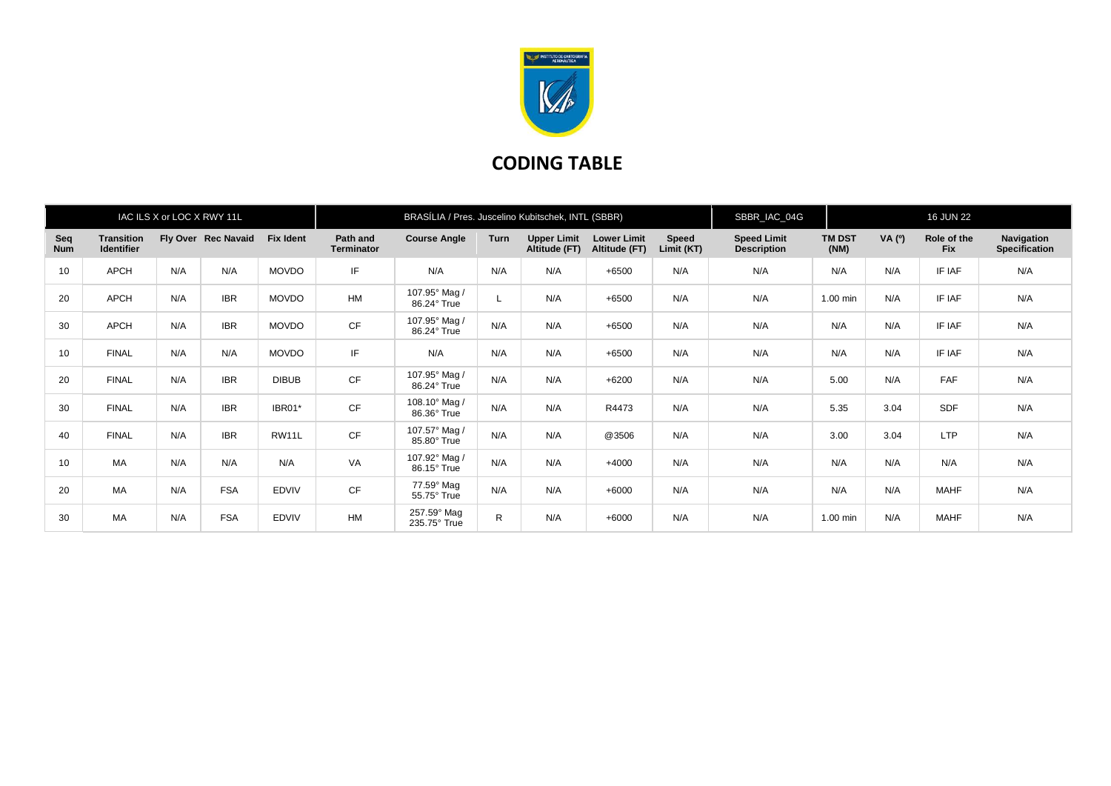

## **CODING TABLE**

| IAC ILS X or LOC X RWY 11L |                                        |     |                     |                  | BRASÍLIA / Pres. Juscelino Kubitschek, INTL (SBBR) |                              |              |                                     |                                     |                     | SBBR_IAC_04G                             |                       | <b>16 JUN 22</b> |                           |                                    |
|----------------------------|----------------------------------------|-----|---------------------|------------------|----------------------------------------------------|------------------------------|--------------|-------------------------------------|-------------------------------------|---------------------|------------------------------------------|-----------------------|------------------|---------------------------|------------------------------------|
| Seq<br><b>Num</b>          | <b>Transition</b><br><b>Identifier</b> |     | Fly Over Rec Navaid | <b>Fix Ident</b> | Path and<br><b>Terminator</b>                      | <b>Course Angle</b>          | <b>Turn</b>  | <b>Upper Limit</b><br>Altitude (FT) | <b>Lower Limit</b><br>Altitude (FT) | Speed<br>Limit (KT) | <b>Speed Limit</b><br><b>Description</b> | <b>TM DST</b><br>(NM) | VA(°)            | Role of the<br><b>Fix</b> | Navigation<br><b>Specification</b> |
| 10                         | <b>APCH</b>                            | N/A | N/A                 | <b>MOVDO</b>     | IF                                                 | N/A                          | N/A          | N/A                                 | $+6500$                             | N/A                 | N/A                                      | N/A                   | N/A              | IF IAF                    | N/A                                |
| 20                         | <b>APCH</b>                            | N/A | <b>IBR</b>          | <b>MOVDO</b>     | <b>HM</b>                                          | 107.95° Mag /<br>86.24° True | L            | N/A                                 | $+6500$                             | N/A                 | N/A                                      | 1.00 min              | N/A              | IF IAF                    | N/A                                |
| 30                         | <b>APCH</b>                            | N/A | <b>IBR</b>          | <b>MOVDO</b>     | CF                                                 | 107.95° Mag /<br>86.24° True | N/A          | N/A                                 | $+6500$                             | N/A                 | N/A                                      | N/A                   | N/A              | IF IAF                    | N/A                                |
| 10                         | <b>FINAL</b>                           | N/A | N/A                 | <b>MOVDO</b>     | IF                                                 | N/A                          | N/A          | N/A                                 | $+6500$                             | N/A                 | N/A                                      | N/A                   | N/A              | IF IAF                    | N/A                                |
| 20                         | <b>FINAL</b>                           | N/A | <b>IBR</b>          | <b>DIBUB</b>     | CF                                                 | 107.95° Mag /<br>86.24° True | N/A          | N/A                                 | $+6200$                             | N/A                 | N/A                                      | 5.00                  | N/A              | <b>FAF</b>                | N/A                                |
| 30                         | <b>FINAL</b>                           | N/A | <b>IBR</b>          | IBR01*           | <b>CF</b>                                          | 108.10° Mag /<br>86.36° True | N/A          | N/A                                 | R4473                               | N/A                 | N/A                                      | 5.35                  | 3.04             | <b>SDF</b>                | N/A                                |
| 40                         | <b>FINAL</b>                           | N/A | <b>IBR</b>          | RW11L            | CF                                                 | 107.57° Mag /<br>85.80° True | N/A          | N/A                                 | @3506                               | N/A                 | N/A                                      | 3.00                  | 3.04             | <b>LTP</b>                | N/A                                |
| 10                         | <b>MA</b>                              | N/A | N/A                 | N/A              | VA                                                 | 107.92° Mag /<br>86.15° True | N/A          | N/A                                 | $+4000$                             | N/A                 | N/A                                      | N/A                   | N/A              | N/A                       | N/A                                |
| 20                         | <b>MA</b>                              | N/A | <b>FSA</b>          | <b>EDVIV</b>     | <b>CF</b>                                          | 77.59° Mag<br>55.75° True    | N/A          | N/A                                 | $+6000$                             | N/A                 | N/A                                      | N/A                   | N/A              | <b>MAHF</b>               | N/A                                |
| 30                         | <b>MA</b>                              | N/A | <b>FSA</b>          | <b>EDVIV</b>     | HM                                                 | 257.59° Mag<br>235.75° True  | $\mathsf{R}$ | N/A                                 | $+6000$                             | N/A                 | N/A                                      | 1.00 min              | N/A              | <b>MAHF</b>               | N/A                                |